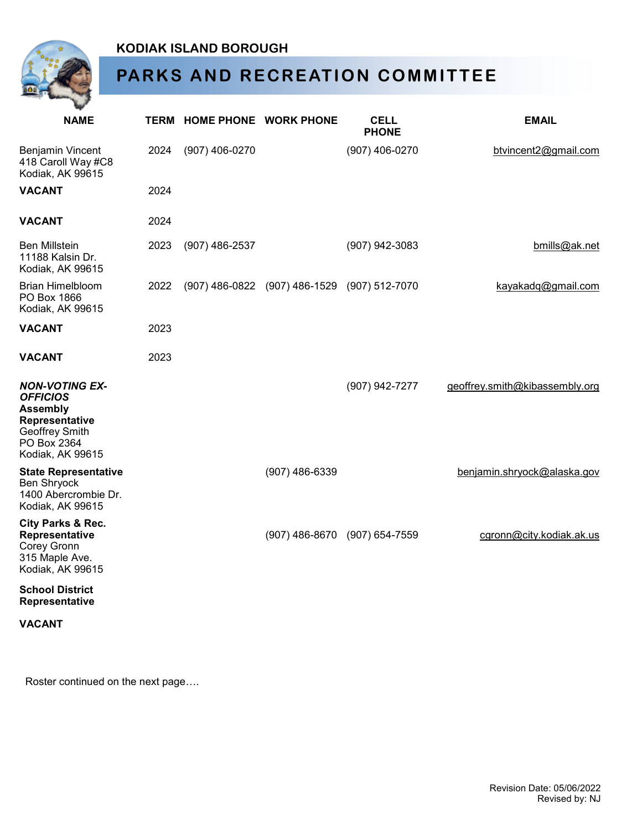

## **KODIAK ISLAND BOROUGH**

## **PARKS AND RECREATION COMMITTEE**

| <b>NAME</b>                                                                                                                        |      | <b>TERM HOME PHONE WORK PHONE</b> |                                              | <b>CELL</b><br><b>PHONE</b> | <b>EMAIL</b>                   |
|------------------------------------------------------------------------------------------------------------------------------------|------|-----------------------------------|----------------------------------------------|-----------------------------|--------------------------------|
| <b>Benjamin Vincent</b><br>418 Caroll Way #C8<br>Kodiak, AK 99615                                                                  | 2024 | (907) 406-0270                    |                                              | (907) 406-0270              | btvincent2@gmail.com           |
| <b>VACANT</b>                                                                                                                      | 2024 |                                   |                                              |                             |                                |
| <b>VACANT</b>                                                                                                                      | 2024 |                                   |                                              |                             |                                |
| <b>Ben Millstein</b><br>11188 Kalsin Dr.<br>Kodiak, AK 99615                                                                       | 2023 | $(907)$ 486-2537                  |                                              | (907) 942-3083              | bmills@ak.net                  |
| Brian Himelbloom<br>PO Box 1866<br>Kodiak, AK 99615                                                                                | 2022 |                                   | (907) 486-0822 (907) 486-1529 (907) 512-7070 |                             | kayakadq@gmail.com             |
| <b>VACANT</b>                                                                                                                      | 2023 |                                   |                                              |                             |                                |
| <b>VACANT</b>                                                                                                                      | 2023 |                                   |                                              |                             |                                |
| <b>NON-VOTING EX-</b><br><b>OFFICIOS</b><br><b>Assembly</b><br>Representative<br>Geoffrey Smith<br>PO Box 2364<br>Kodiak, AK 99615 |      |                                   |                                              | (907) 942-7277              | geoffrey.smith@kibassembly.org |
| <b>State Representative</b><br><b>Ben Shryock</b><br>1400 Abercrombie Dr.<br>Kodiak, AK 99615                                      |      |                                   | $(907)$ 486-6339                             |                             | benjamin.shryock@alaska.gov    |
| City Parks & Rec.<br>Representative<br><b>Corey Gronn</b><br>315 Maple Ave.<br>Kodiak, AK 99615                                    |      |                                   | $(907)$ 486-8670                             | $(907) 654 - 7559$          | cgronn@city.kodiak.ak.us       |
| <b>School District</b><br>Representative                                                                                           |      |                                   |                                              |                             |                                |
| <b>VACANT</b>                                                                                                                      |      |                                   |                                              |                             |                                |

Roster continued on the next page….